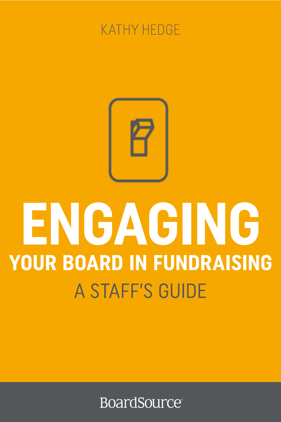



# ENGAGING **YOUR BOARD IN FUNDRAISING A STAFF'S GUIDE**

**BoardSource**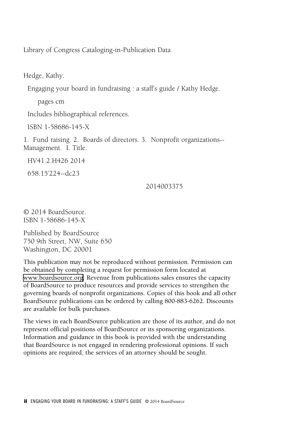Library of Congress Cataloging-in-Publication Data

Hedge, Kathy.

Engaging your board in fundraising : a staff's guide / Kathy Hedge.

pages cm

Includes bibliographical references.

ISBN 1-58686-145-X

1. Fund raising. 2. Boards of directors. 3. Nonprofit organizations-- Management. I. Title.

HV41.2.H426 2014

658.15'224--dc23

2014003375

© 2014 BoardSource. ISBN 1-58686-145-X

Published by BoardSource 750 9th Street, NW, Suite 650 Washington, DC 20001

This publication may not be reproduced without permission. Permission can be obtained by completing a request for permission form located at [www.boardsource.org.](http://www.boardsource.org) Revenue from publications sales ensures the capacity of BoardSource to produce resources and provide services to strengthen the governing boards of nonprofit organizations. Copies of this book and all other BoardSource publications can be ordered by calling 800-883-6262. Discounts are available for bulk purchases.

The views in each BoardSource publication are those of its author, and do not represent official positions of BoardSource or its sponsoring organizations. Information and guidance in this book is provided with the understanding that BoardSource is not engaged in rendering professional opinions. If such opinions are required, the services of an attorney should be sought.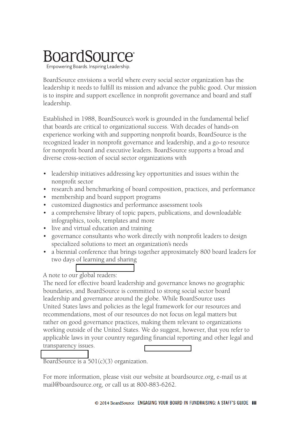# **BoardSource**

Empowering Boards. Inspiring Leadership.

BoardSource envisions a world where every social sector organization has the leadership it needs to fulfill its mission and advance the public good. Our mission is to inspire and support excellence in nonprofit governance and board and staff leadership.

Established in 1988, BoardSource's work is grounded in the fundamental belief that boards are critical to organizational success. With decades of hands-on experience working with and supporting nonprofit boards, BoardSource is the recognized leader in nonprofit governance and leadership, and a go-to resource for nonprofit board and executive leaders. BoardSource supports a broad and diverse cross-section of social sector organizations with

- leadership initiatives addressing key opportunities and issues within the nonprofit sector
- research and benchmarking of board composition, practices, and performance
- membership and board support programs
- customized diagnostics and performance assessment tools
- a comprehensive library of topic papers, publications, and downloadable infographics, tools, templates and more
- live and virtual education and training
- governance consultants who work directly with nonprofit leaders to design specialized solutions to meet an organization's needs
- a biennial conference that brings together approximately 800 board leaders for two days of learning and sharing

#### A note to our global readers:

The need for effective board leadership and governance knows no geographic boundaries, and BoardSource is committed to strong social sector board leadership and governance around the globe. While BoardSource uses United States laws and policies as the legal framework for our resources and recommendations, most of our resources do not focus on legal matters but rather on good governance practices, making them relevant to organizations working outside of the United States. We do suggest, however, that you refer to applicable laws in your country regarding financial reporting and other legal and transparency issues.

BoardSource is a  $501(c)(3)$  organization.

For more information, please visit our website at boardsource.org, e-mail us at mail@boardsource.org, or call us at 800-883-6262.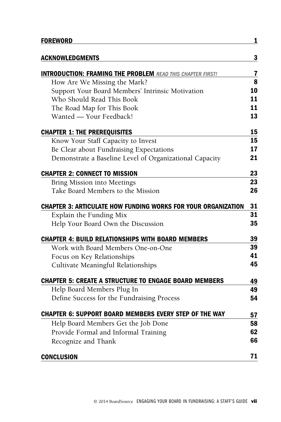| <b>FOREWORD</b>                                                      | 1  |
|----------------------------------------------------------------------|----|
| <b>ACKNOWLEDGMENTS</b>                                               | 3  |
| <b>INTRODUCTION: FRAMING THE PROBLEM READ THIS CHAPTER FIRST!</b>    | 7  |
| How Are We Missing the Mark?                                         | 8  |
| Support Your Board Members' Intrinsic Motivation                     | 10 |
| Who Should Read This Book                                            | 11 |
| The Road Map for This Book                                           | 11 |
| Wanted - Your Feedback!                                              | 13 |
| <b>CHAPTER 1: THE PREREQUISITES</b>                                  | 15 |
| Know Your Staff Capacity to Invest                                   | 15 |
| Be Clear about Fundraising Expectations                              | 17 |
| Demonstrate a Baseline Level of Organizational Capacity              | 21 |
| <b>CHAPTER 2: CONNECT TO MISSION</b>                                 | 23 |
| Bring Mission into Meetings                                          | 23 |
| Take Board Members to the Mission                                    | 26 |
| <b>CHAPTER 3: ARTICULATE HOW FUNDING WORKS FOR YOUR ORGANIZATION</b> | 31 |
| Explain the Funding Mix                                              | 31 |
| Help Your Board Own the Discussion                                   | 35 |
| <b>CHAPTER 4: BUILD RELATIONSHIPS WITH BOARD MEMBERS</b>             | 39 |
| Work with Board Members One-on-One                                   | 39 |
| Focus on Key Relationships                                           | 41 |
| Cultivate Meaningful Relationships                                   | 45 |
| <b>CHAPTER 5: CREATE A STRUCTURE TO ENGAGE BOARD MEMBERS</b>         | 49 |
| Help Board Members Plug In                                           | 49 |
| Define Success for the Fundraising Process                           | 54 |
| <b>CHAPTER 6: SUPPORT BOARD MEMBERS EVERY STEP OF THE WAY</b>        | 57 |
| Help Board Members Get the Job Done                                  | 58 |
| Provide Formal and Informal Training                                 | 62 |
| Recognize and Thank                                                  | 66 |
| <b>CONCLUSION</b>                                                    | 71 |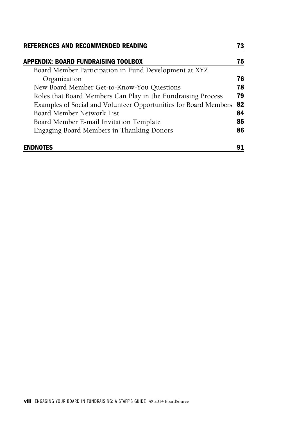| REFERENCES AND RECOMMENDED READING                               | 73 |
|------------------------------------------------------------------|----|
| APPENDIX: BOARD FUNDRAISING TOOLBOX                              | 75 |
| Board Member Participation in Fund Development at XYZ            |    |
| Organization                                                     | 76 |
| New Board Member Get-to-Know-You Questions                       | 78 |
| Roles that Board Members Can Play in the Fundraising Process     | 79 |
| Examples of Social and Volunteer Opportunities for Board Members | 82 |
| Board Member Network List                                        | 84 |
| Board Member E-mail Invitation Template                          | 85 |
| Engaging Board Members in Thanking Donors                        | 86 |
| <b>ENDNOTES</b>                                                  |    |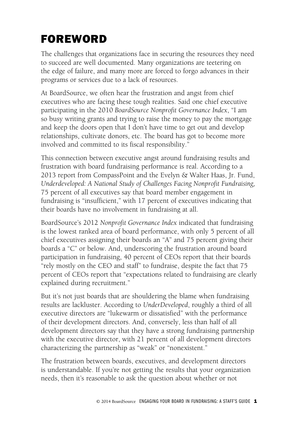# FOREWoRD

The challenges that organizations face in securing the resources they need to succeed are well documented. Many organizations are teetering on the edge of failure, and many more are forced to forgo advances in their programs or services due to a lack of resources.

At BoardSource, we often hear the frustration and angst from chief executives who are facing these tough realities. Said one chief executive participating in the 2010 *BoardSource Nonprofit Governance Index*, "I am so busy writing grants and trying to raise the money to pay the mortgage and keep the doors open that I don't have time to get out and develop relationships, cultivate donors, etc. The board has got to become more involved and committed to its fiscal responsibility."

This connection between executive angst around fundraising results and frustration with board fundraising performance is real. According to a 2013 report from CompassPoint and the Evelyn & Walter Haas, Jr. Fund, *Underdeveloped: A National Study of Challenges Facing Nonprofit Fundraising,* 75 percent of all executives say that board member engagement in fundraising is "insufficient," with 17 percent of executives indicating that their boards have no involvement in fundraising at all.

BoardSource's 2012 *Nonprofit Governance Index* indicated that fundraising is the lowest ranked area of board performance, with only 5 percent of all chief executives assigning their boards an "A" and 75 percent giving their boards a "C" or below. And, underscoring the frustration around board participation in fundraising, 40 percent of CEOs report that their boards "rely mostly on the CEO and staff" to fundraise, despite the fact that 75 percent of CEOs report that "expectations related to fundraising are clearly explained during recruitment."

But it's not just boards that are shouldering the blame when fundraising results are lackluster. According to *UnderDeveloped*, roughly a third of all executive directors are "lukewarm or dissatisfied" with the performance of their development directors. And, conversely, less than half of all development directors say that they have a strong fundraising partnership with the executive director, with 21 percent of all development directors characterizing the partnership as "weak" or "nonexistent."

The frustration between boards, executives, and development directors is understandable. If you're not getting the results that your organization needs, then it's reasonable to ask the question about whether or not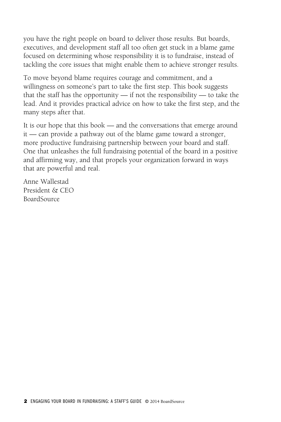you have the right people on board to deliver those results. But boards, executives, and development staff all too often get stuck in a blame game focused on determining whose responsibility it is to fundraise, instead of tackling the core issues that might enable them to achieve stronger results.

To move beyond blame requires courage and commitment, and a willingness on someone's part to take the first step. This book suggests that the staff has the opportunity — if not the responsibility — to take the lead. And it provides practical advice on how to take the first step, and the many steps after that.

It is our hope that this book — and the conversations that emerge around it — can provide a pathway out of the blame game toward a stronger, more productive fundraising partnership between your board and staff. One that unleashes the full fundraising potential of the board in a positive and affirming way, and that propels your organization forward in ways that are powerful and real.

Anne Wallestad President & CEO BoardSource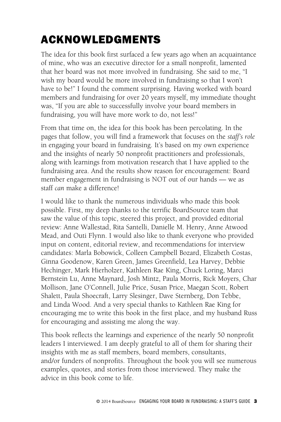# Acknowledgments

The idea for this book first surfaced a few years ago when an acquaintance of mine, who was an executive director for a small nonprofit, lamented that her board was not more involved in fundraising. She said to me, "I wish my board would be more involved in fundraising so that I won't have to be!" I found the comment surprising. Having worked with board members and fundraising for over 20 years myself, my immediate thought was, "If you are able to successfully involve your board members in fundraising, you will have more work to do, not less!"

From that time on, the idea for this book has been percolating. In the pages that follow, you will find a framework that focuses on the *staff's role*  in engaging your board in fundraising. It's based on my own experience and the insights of nearly 50 nonprofit practitioners and professionals, along with learnings from motivation research that I have applied to the fundraising area. And the results show reason for encouragement: Board member engagement in fundraising is NOT out of our hands — we as staff *can* make a difference!

I would like to thank the numerous individuals who made this book possible. First, my deep thanks to the terrific BoardSource team that saw the value of this topic, steered this project, and provided editorial review: Anne Wallestad, Rita Santelli, Danielle M. Henry, Anne Atwood Mead, and Outi Flynn. I would also like to thank everyone who provided input on content, editorial review, and recommendations for interview candidates: Marla Bobowick, Colleen Campbell Bozard, Elizabeth Costas, Ginna Goodenow, Karen Green, James Greenfield, Lea Harvey, Debbie Hechinger, Mark Hierholzer, Kathleen Rae King, Chuck Loring, Marci Bernstein Lu, Anne Maynard, Josh Mintz, Paula Morris, Rick Moyers, Char Mollison, Jane O'Connell, Julie Price, Susan Price, Maegan Scott, Robert Shalett, Paula Shoecraft, Larry Slesinger, Dave Sternberg, Don Tebbe, and Linda Wood. And a very special thanks to Kathleen Rae King for encouraging me to write this book in the first place, and my husband Russ for encouraging and assisting me along the way.

This book reflects the learnings and experience of the nearly 50 nonprofit leaders I interviewed. I am deeply grateful to all of them for sharing their insights with me as staff members, board members, consultants, and/or funders of nonprofits. Throughout the book you will see numerous examples, quotes, and stories from those interviewed. They make the advice in this book come to life.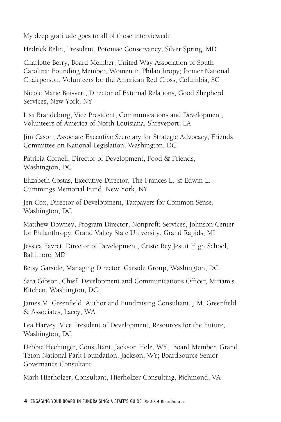My deep gratitude goes to all of those interviewed:

Hedrick Belin, President, Potomac Conservancy, Silver Spring, MD

Charlotte Berry, Board Member, United Way Association of South Carolina; Founding Member, Women in Philanthropy; former National Chairperson, Volunteers for the American Red Cross, Columbia, SC

Nicole Marie Boisvert, Director of External Relations, Good Shepherd Services, New York, NY

Lisa Brandeburg, Vice President, Communications and Development, Volunteers of America of North Louisiana, Shreveport, LA

Jim Cason, Associate Executive Secretary for Strategic Advocacy, Friends Committee on National Legislation, Washington, DC

Patricia Cornell, Director of Development, Food & Friends, Washington, DC

Elizabeth Costas, Executive Director, The Frances L. & Edwin L. Cummings Memorial Fund, New York, NY

Jen Cox, Director of Development, Taxpayers for Common Sense, Washington, DC

Matthew Downey, Program Director, Nonprofit Services, Johnson Center for Philanthropy, Grand Valley State University, Grand Rapids, MI

Jessica Favret, Director of Development, Cristo Rey Jesuit High School, Baltimore, MD

Betsy Garside, Managing Director, Garside Group, Washington, DC

Sara Gibson, Chief Development and Communications Officer, Miriam's Kitchen, Washington, DC

James M. Greenfield, Author and Fundraising Consultant, J.M. Greenfield & Associates, Lacey, WA

Lea Harvey, Vice President of Development, Resources for the Future, Washington, DC

Debbie Hechinger, Consultant, Jackson Hole, WY; Board Member, Grand Teton National Park Foundation, Jackson, WY; BoardSource Senior Governance Consultant

Mark Hierholzer, Consultant, Hierholzer Consulting, Richmond, VA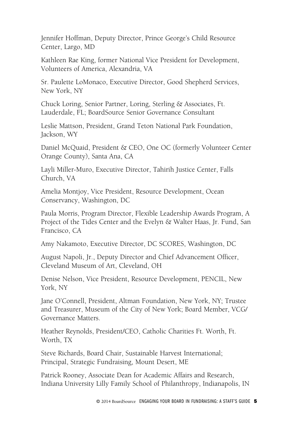Jennifer Hoffman, Deputy Director, Prince George's Child Resource Center, Largo, MD

Kathleen Rae King, former National Vice President for Development, Volunteers of America, Alexandria, VA

Sr. Paulette LoMonaco, Executive Director, Good Shepherd Services, New York, NY

Chuck Loring, Senior Partner, Loring, Sterling & Associates, Ft. Lauderdale, FL; BoardSource Senior Governance Consultant

Leslie Mattson, President, Grand Teton National Park Foundation, Jackson, WY

Daniel McQuaid, President & CEO, One OC (formerly Volunteer Center Orange County), Santa Ana, CA

Layli Miller-Muro, Executive Director, Tahirih Justice Center, Falls Church, VA

Amelia Montjoy, Vice President, Resource Development, Ocean Conservancy, Washington, DC

Paula Morris, Program Director, Flexible Leadership Awards Program, A Project of the Tides Center and the Evelyn & Walter Haas, Jr. Fund, San Francisco, CA

Amy Nakamoto, Executive Director, DC SCORES, Washington, DC

August Napoli, Jr., Deputy Director and Chief Advancement Officer, Cleveland Museum of Art, Cleveland, OH

Denise Nelson, Vice President, Resource Development, PENCIL, New York, NY

Jane O'Connell, President, Altman Foundation, New York, NY; Trustee and Treasurer, Museum of the City of New York; Board Member, VCG/ Governance Matters.

Heather Reynolds, President/CEO, Catholic Charities Ft. Worth, Ft. Worth, TX

Steve Richards, Board Chair, Sustainable Harvest International; Principal, Strategic Fundraising, Mount Desert, ME

Patrick Rooney, Associate Dean for Academic Affairs and Research, Indiana University Lilly Family School of Philanthropy, Indianapolis, IN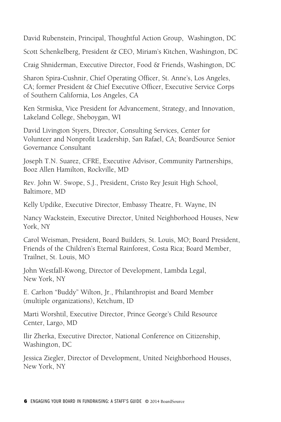David Rubenstein, Principal, Thoughtful Action Group, Washington, DC

Scott Schenkelberg, President & CEO, Miriam's Kitchen, Washington, DC

Craig Shniderman, Executive Director, Food & Friends, Washington, DC

Sharon Spira-Cushnir, Chief Operating Officer, St. Anne's, Los Angeles, CA; former President & Chief Executive Officer, Executive Service Corps of Southern California, Los Angeles, CA

Ken Strmiska, Vice President for Advancement, Strategy, and Innovation, Lakeland College, Sheboygan, WI

David Livington Styers, Director, Consulting Services, Center for Volunteer and Nonprofit Leadership, San Rafael, CA; BoardSource Senior Governance Consultant

Joseph T.N. Suarez, CFRE, Executive Advisor, Community Partnerships, Booz Allen Hamilton, Rockville, MD

Rev. John W. Swope, S.J., President, Cristo Rey Jesuit High School, Baltimore, MD

Kelly Updike, Executive Director, Embassy Theatre, Ft. Wayne, IN

Nancy Wackstein, Executive Director, United Neighborhood Houses, New York, NY

Carol Weisman, President, Board Builders, St. Louis, MO; Board President, Friends of the Children's Eternal Rainforest, Costa Rica; Board Member, Trailnet, St. Louis, MO

John Westfall-Kwong, Director of Development, Lambda Legal, New York, NY

E. Carlton "Buddy" Wilton, Jr., Philanthropist and Board Member (multiple organizations), Ketchum, ID

Marti Worshtil, Executive Director, Prince George's Child Resource Center, Largo, MD

Ilir Zherka, Executive Director, National Conference on Citizenship, Washington, DC

Jessica Ziegler, Director of Development, United Neighborhood Houses, New York, NY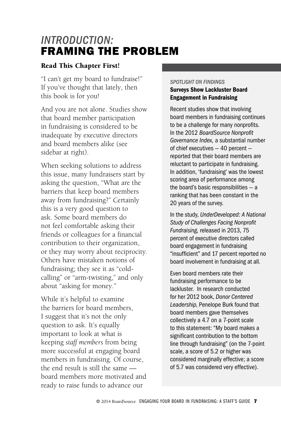# *Introduction:*  Framing the Problem

#### Read This Chapter First!

"I can't get my board to fundraise!" If you've thought that lately, then this book is for you!

And you are not alone. Studies show that board member participation in fundraising is considered to be inadequate by executive directors and board members alike (see sidebar at right).

When seeking solutions to address this issue, many fundraisers start by asking the question, "What are the barriers that keep board members away from fundraising?" Certainly this is a very good question to ask. Some board members do not feel comfortable asking their friends or colleagues for a financial contribution to their organization, or they may worry about reciprocity. Others have mistaken notions of fundraising; they see it as "coldcalling" or "arm-twisting," and only about "asking for money."

While it's helpful to examine the barriers for board members, I suggest that it's not the only question to ask. It's equally important to look at what is keeping *staff members* from being more successful at engaging board members in fundraising. Of course, the end result is still the same board members more motivated and ready to raise funds to advance our

#### *SPOTLIGHT ON FINDINGS*

#### Surveys Show Lackluster Board Engagement in Fundraising

Recent studies show that involving board members in fundraising continues to be a challenge for many nonprofits. In the 2012 *BoardSource Nonprofit Governance Index,* a substantial number of chief executives — 40 percent reported that their board members are reluctant to participate in fundraising. In addition, 'fundraising' was the lowest scoring area of performance among the board's basic responsibilities — a ranking that has been constant in the 20 years of the survey.

In the study, *UnderDeveloped: A National Study of Challenges Facing Nonprofit Fundraising,* released in 2013, 75 percent of executive directors called board engagement in fundraising "insufficient" and 17 percent reported no board involvement in fundraising at all.

Even board members rate their fundraising performance to be lackluster. In research conducted for her 2012 book, *Donor Centered Leadership*, Penelope Burk found that board members gave themselves collectively a 4.7 on a 7-point scale to this statement: "My board makes a significant contribution to the bottom line through fundraising" (on the 7-point scale, a score of 5.2 or higher was considered marginally effective; a score of 5.7 was considered very effective).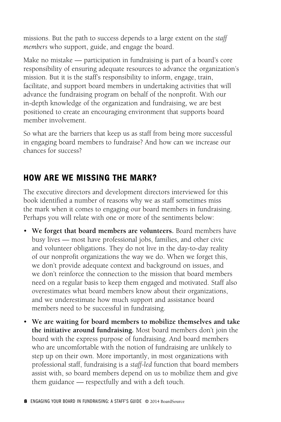missions. But the path to success depends to a large extent on the *staff members* who support, guide, and engage the board.

Make no mistake — participation in fundraising is part of a board's core responsibility of ensuring adequate resources to advance the organization's mission. But it is the staff's responsibility to inform, engage, train, facilitate, and support board members in undertaking activities that will advance the fundraising program on behalf of the nonprofit. With our in-depth knowledge of the organization and fundraising, we are best positioned to create an encouraging environment that supports board member involvement.

So what are the barriers that keep us as staff from being more successful in engaging board members to fundraise? And how can we increase our chances for success?

# How Are We Missing the Mark?

The executive directors and development directors interviewed for this book identified a number of reasons why we as staff sometimes miss the mark when it comes to engaging our board members in fundraising. Perhaps you will relate with one or more of the sentiments below:

- • **We forget that board members are volunteers.** Board members have busy lives — most have professional jobs, families, and other civic and volunteer obligations. They do not live in the day-to-day reality of our nonprofit organizations the way we do. When we forget this, we don't provide adequate context and background on issues, and we don't reinforce the connection to the mission that board members need on a regular basis to keep them engaged and motivated. Staff also overestimates what board members know about their organizations, and we underestimate how much support and assistance board members need to be successful in fundraising.
- • **We are waiting for board members to mobilize themselves and take the initiative around fundraising.** Most board members don't join the board with the express purpose of fundraising. And board members who are uncomfortable with the notion of fundraising are unlikely to step up on their own. More importantly, in most organizations with professional staff, fundraising is a *staff-led* function that board members assist with, so board members depend on us to mobilize them and give them guidance — respectfully and with a deft touch.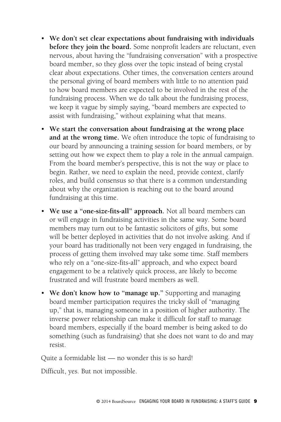- • **We don't set clear expectations about fundraising with individuals before they join the board.** Some nonprofit leaders are reluctant, even nervous, about having the "fundraising conversation" with a prospective board member, so they gloss over the topic instead of being crystal clear about expectations. Other times, the conversation centers around the personal giving of board members with little to no attention paid to how board members are expected to be involved in the rest of the fundraising process. When we do talk about the fundraising process, we keep it vague by simply saying, "board members are expected to assist with fundraising," without explaining what that means.
- • **We start the conversation about fundraising at the wrong place and at the wrong time.** We often introduce the topic of fundraising to our board by announcing a training session for board members, or by setting out how we expect them to play a role in the annual campaign. From the board member's perspective, this is not the way or place to begin. Rather, we need to explain the need, provide context, clarify roles, and build consensus so that there is a common understanding about why the organization is reaching out to the board around fundraising at this time.
- • **We use a "one-size-fits-all" approach.** Not all board members can or will engage in fundraising activities in the same way. Some board members may turn out to be fantastic solicitors of gifts, but some will be better deployed in activities that do not involve asking. And if your board has traditionally not been very engaged in fundraising, the process of getting them involved may take some time. Staff members who rely on a "one-size-fits-all" approach, and who expect board engagement to be a relatively quick process, are likely to become frustrated and will frustrate board members as well.
- We don't know how to "manage up." Supporting and managing board member participation requires the tricky skill of "managing up," that is, managing someone in a position of higher authority. The inverse power relationship can make it difficult for staff to manage board members, especially if the board member is being asked to do something (such as fundraising) that she does not want to do and may resist.

Quite a formidable list — no wonder this is so hard!

Difficult, yes. But not impossible.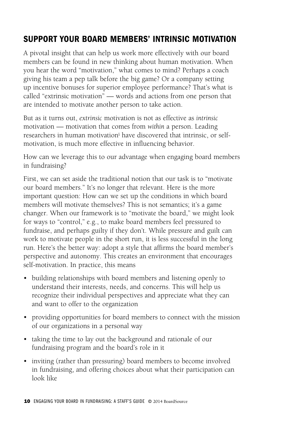# Support Your Board Members' Intrinsic Motivation

A pivotal insight that can help us work more effectively with our board members can be found in new thinking about human motivation. When you hear the word "motivation," what comes to mind? Perhaps a coach giving his team a pep talk before the big game? Or a company setting up incentive bonuses for superior employee performance? That's what is called "extrinsic motivation" — words and actions from one person that are intended to motivate another person to take action.

But as it turns out, *extrinsic* motivation is not as effective as *intrinsic* motivation — motivation that comes from *within* a person. Leading researchers in human motivation<sup>i</sup> have discovered that intrinsic, or selfmotivation, is much more effective in influencing behavior.

How can we leverage this to our advantage when engaging board members in fundraising?

First, we can set aside the traditional notion that our task is to "motivate our board members." It's no longer that relevant. Here is the more important question: How can we set up the conditions in which board members will motivate themselves? This is not semantics; it's a game changer. When our framework is to "motivate the board," we might look for ways to "control," e.g., to make board members feel pressured to fundraise, and perhaps guilty if they don't. While pressure and guilt can work to motivate people in the short run, it is less successful in the long run. Here's the better way: adopt a style that affirms the board member's perspective and autonomy. This creates an environment that encourages self-motivation. In practice, this means

- building relationships with board members and listening openly to understand their interests, needs, and concerns. This will help us recognize their individual perspectives and appreciate what they can and want to offer to the organization
- providing opportunities for board members to connect with the mission of our organizations in a personal way
- taking the time to lay out the background and rationale of our fundraising program and the board's role in it
- inviting (rather than pressuring) board members to become involved in fundraising, and offering choices about what their participation can look like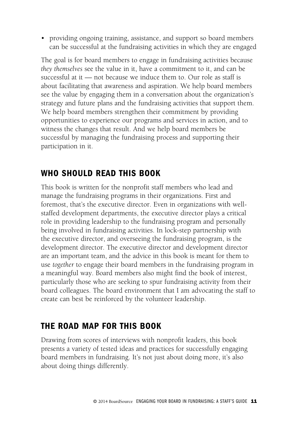• providing ongoing training, assistance, and support so board members can be successful at the fundraising activities in which they are engaged

The goal is for board members to engage in fundraising activities because *they themselves* see the value in it, have a commitment to it, and can be successful at it — not because we induce them to. Our role as staff is about facilitating that awareness and aspiration. We help board members see the value by engaging them in a conversation about the organization's strategy and future plans and the fundraising activities that support them. We help board members strengthen their commitment by providing opportunities to experience our programs and services in action, and to witness the changes that result. And we help board members be successful by managing the fundraising process and supporting their participation in it.

# Who Should Read This Book

This book is written for the nonprofit staff members who lead and manage the fundraising programs in their organizations. First and foremost, that's the executive director. Even in organizations with wellstaffed development departments, the executive director plays a critical role in providing leadership to the fundraising program and personally being involved in fundraising activities. In lock-step partnership with the executive director, and overseeing the fundraising program, is the development director. The executive director and development director are an important team, and the advice in this book is meant for them to use *together* to engage their board members in the fundraising program in a meaningful way. Board members also might find the book of interest, particularly those who are seeking to spur fundraising activity from their board colleagues. The board environment that I am advocating the staff to create can best be reinforced by the volunteer leadership.

# The Road Map for this Book

Drawing from scores of interviews with nonprofit leaders, this book presents a variety of tested ideas and practices for successfully engaging board members in fundraising. It's not just about doing more, it's also about doing things differently.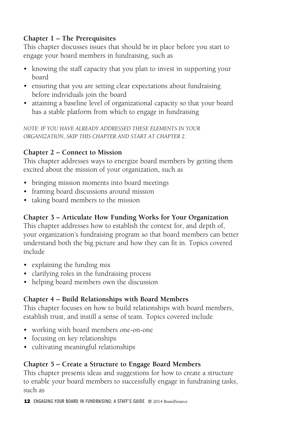## **Chapter 1 – The Prerequisites**

This chapter discusses issues that should be in place before you start to engage your board members in fundraising, such as

- knowing the staff capacity that you plan to invest in supporting your board
- ensuring that you are setting clear expectations about fundraising before individuals join the board
- attaining a baseline level of organizational capacity so that your board has a stable platform from which to engage in fundraising

*NOTE: IF YOU HAVE ALREADY ADDRESSED THESE ELEMENTS IN YOUR ORGANIZATION, SKIP THIS CHAPTER AND START AT CHAPTER 2*.

## **Chapter 2 – Connect to Mission**

This chapter addresses ways to energize board members by getting them excited about the mission of your organization, such as

- bringing mission moments into board meetings
- framing board discussions around mission
- taking board members to the mission

# **Chapter 3 – Articulate How Funding Works for Your Organization**

This chapter addresses how to establish the context for, and depth of, your organization's fundraising program so that board members can better understand both the big picture and how they can fit in. Topics covered include

- explaining the funding mix
- clarifying roles in the fundraising process
- helping board members own the discussion

### **Chapter 4 – Build Relationships with Board Members**

This chapter focuses on how to build relationships with board members, establish trust, and instill a sense of team. Topics covered include

- working with board members one-on-one
- focusing on key relationships
- • cultivating meaningful relationships

# **Chapter 5 – Create a Structure to Engage Board Members**

This chapter presents ideas and suggestions for how to create a structure to enable your board members to successfully engage in fundraising tasks, such as

12 ENGAGING YOUR BOARD IN FUNDRAISING: A STAFF'S GUIDE © 2014 BoardSource